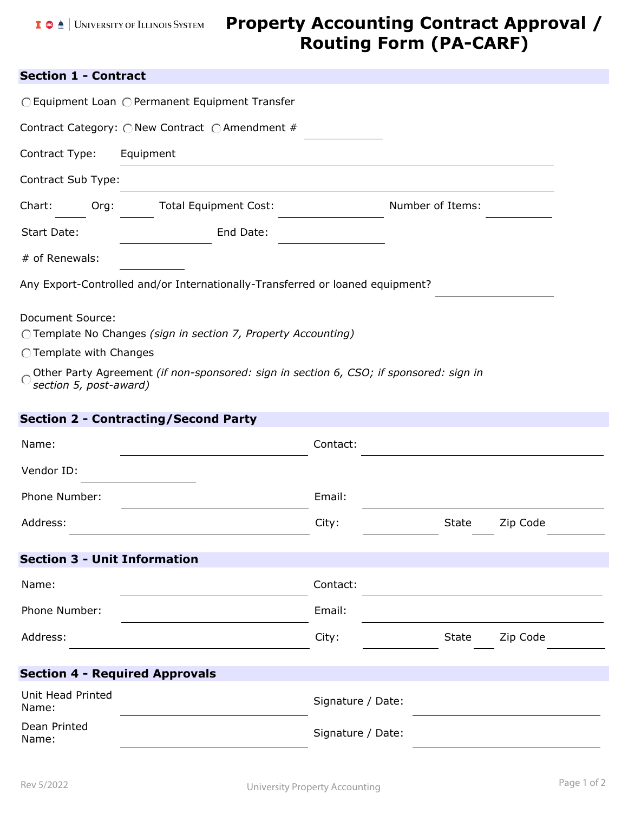# **Property Accounting Contract Approval / Routing Form (PA-CARF)**

## **Section 1 - Contract**

|                                                                                                                                                                                                                                  | ○ Equipment Loan ○ Permanent Equipment Transfer                               |                   |                  |          |  |  |
|----------------------------------------------------------------------------------------------------------------------------------------------------------------------------------------------------------------------------------|-------------------------------------------------------------------------------|-------------------|------------------|----------|--|--|
|                                                                                                                                                                                                                                  | Contract Category: ○ New Contract ○ Amendment #                               |                   |                  |          |  |  |
| Contract Type:                                                                                                                                                                                                                   | Equipment                                                                     |                   |                  |          |  |  |
| Contract Sub Type:                                                                                                                                                                                                               |                                                                               |                   |                  |          |  |  |
| Chart:<br>Org:                                                                                                                                                                                                                   | <b>Total Equipment Cost:</b>                                                  |                   | Number of Items: |          |  |  |
| Start Date:                                                                                                                                                                                                                      | End Date:                                                                     |                   |                  |          |  |  |
| # of Renewals:                                                                                                                                                                                                                   |                                                                               |                   |                  |          |  |  |
|                                                                                                                                                                                                                                  | Any Export-Controlled and/or Internationally-Transferred or loaned equipment? |                   |                  |          |  |  |
| Document Source:<br>OTemplate No Changes (sign in section 7, Property Accounting)<br>◯ Template with Changes<br>Other Party Agreement (if non-sponsored: sign in section 6, CSO; if sponsored: sign in<br>section 5, post-award) |                                                                               |                   |                  |          |  |  |
|                                                                                                                                                                                                                                  | <b>Section 2 - Contracting/Second Party</b>                                   |                   |                  |          |  |  |
| Name:                                                                                                                                                                                                                            |                                                                               | Contact:          |                  |          |  |  |
| Vendor ID:                                                                                                                                                                                                                       |                                                                               |                   |                  |          |  |  |
| Phone Number:                                                                                                                                                                                                                    |                                                                               | Email:            |                  |          |  |  |
| Address:                                                                                                                                                                                                                         |                                                                               | City:             | <b>State</b>     | Zip Code |  |  |
| <b>Section 3 - Unit Information</b>                                                                                                                                                                                              |                                                                               |                   |                  |          |  |  |
| Name:                                                                                                                                                                                                                            |                                                                               | Contact:          |                  |          |  |  |
| Phone Number:                                                                                                                                                                                                                    |                                                                               | Email:            |                  |          |  |  |
| Address:                                                                                                                                                                                                                         |                                                                               | City:             | <b>State</b>     | Zip Code |  |  |
| <b>Section 4 - Required Approvals</b>                                                                                                                                                                                            |                                                                               |                   |                  |          |  |  |
| Unit Head Printed<br>Name:                                                                                                                                                                                                       |                                                                               | Signature / Date: |                  |          |  |  |
| Dean Printed<br>Name:                                                                                                                                                                                                            |                                                                               | Signature / Date: |                  |          |  |  |